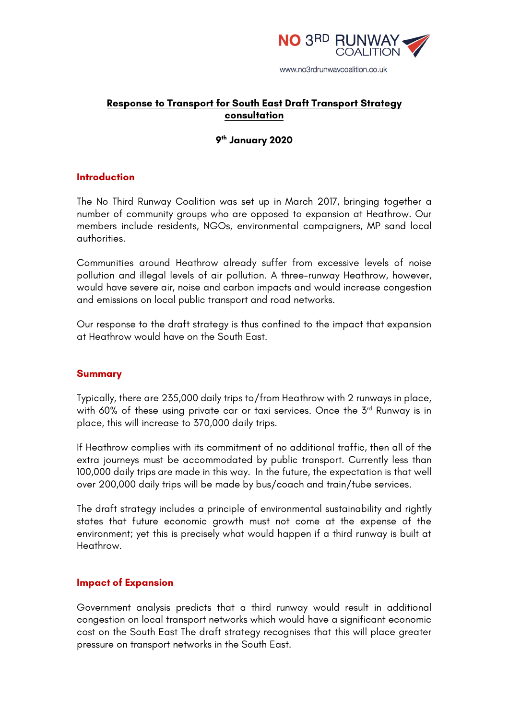

# **Response to Transport for South East Draft Transport Strategy consultation**

### **9th January 2020**

### **Introduction**

The No Third Runway Coalition was set up in March 2017, bringing together a number of community groups who are opposed to expansion at Heathrow. Our members include residents, NGOs, environmental campaigners, MP sand local authorities.

Communities around Heathrow already suffer from excessive levels of noise pollution and illegal levels of air pollution. A three-runway Heathrow, however, would have severe air, noise and carbon impacts and would increase congestion and emissions on local public transport and road networks.

Our response to the draft strategy is thus confined to the impact that expansion at Heathrow would have on the South East.

#### **Summary**

Typically, there are 235,000 daily trips to/from Heathrow with 2 runways in place, with 60% of these using private car or taxi services. Once the 3<sup>rd</sup> Runway is in place, this will increase to 370,000 daily trips.

If Heathrow complies with its commitment of no additional traffic, then all of the extra journeys must be accommodated by public transport. Currently less than 100,000 daily trips are made in this way. In the future, the expectation is that well over 200,000 daily trips will be made by bus/coach and train/tube services.

The draft strategy includes a principle of environmental sustainability and rightly states that future economic growth must not come at the expense of the environment; yet this is precisely what would happen if a third runway is built at Heathrow.

#### **Impact of Expansion**

Government analysis predicts that a third runway would result in additional congestion on local transport networks which would have a significant economic cost on the South East The draft strategy recognises that this will place greater pressure on transport networks in the South East.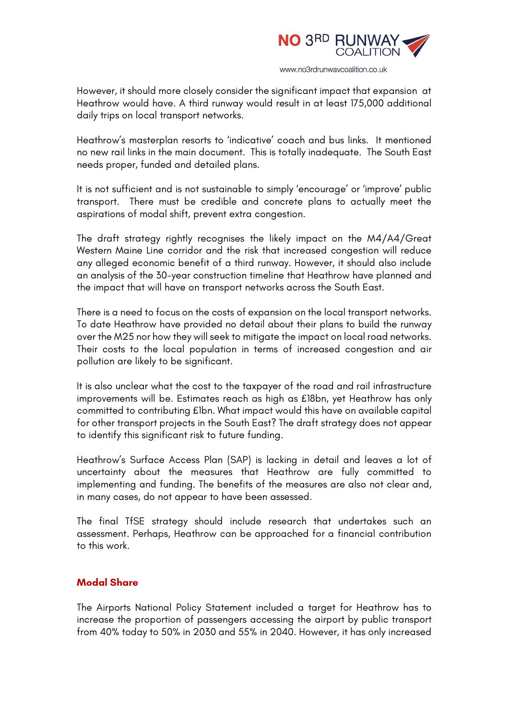

However, it should more closely consider the significant impact that expansion at Heathrow would have. A third runway would result in at least 175,000 additional daily trips on local transport networks.

Heathrow's masterplan resorts to 'indicative' coach and bus links. It mentioned no new rail links in the main document. This is totally inadequate. The South East needs proper, funded and detailed plans.

It is not sufficient and is not sustainable to simply 'encourage' or 'improve' public transport. There must be credible and concrete plans to actually meet the aspirations of modal shift, prevent extra congestion.

The draft strategy rightly recognises the likely impact on the M4/A4/Great Western Maine Line corridor and the risk that increased congestion will reduce any alleged economic benefit of a third runway. However, it should also include an analysis of the 30-year construction timeline that Heathrow have planned and the impact that will have on transport networks across the South East.

There is a need to focus on the costs of expansion on the local transport networks. To date Heathrow have provided no detail about their plans to build the runway over the M25 nor how they will seek to mitigate the impact on local road networks. Their costs to the local population in terms of increased congestion and air pollution are likely to be significant.

It is also unclear what the cost to the taxpayer of the road and rail infrastructure improvements will be. Estimates reach as high as £18bn, yet Heathrow has only committed to contributing £1bn. What impact would this have on available capital for other transport projects in the South East? The draft strategy does not appear to identify this significant risk to future funding.

Heathrow's Surface Access Plan (SAP) is lacking in detail and leaves a lot of uncertainty about the measures that Heathrow are fully committed to implementing and funding. The benefits of the measures are also not clear and, in many cases, do not appear to have been assessed.

The final TfSE strategy should include research that undertakes such an assessment. Perhaps, Heathrow can be approached for a financial contribution to this work.

### **Modal Share**

The Airports National Policy Statement included a target for Heathrow has to increase the proportion of passengers accessing the airport by public transport from 40% today to 50% in 2030 and 55% in 2040. However, it has only increased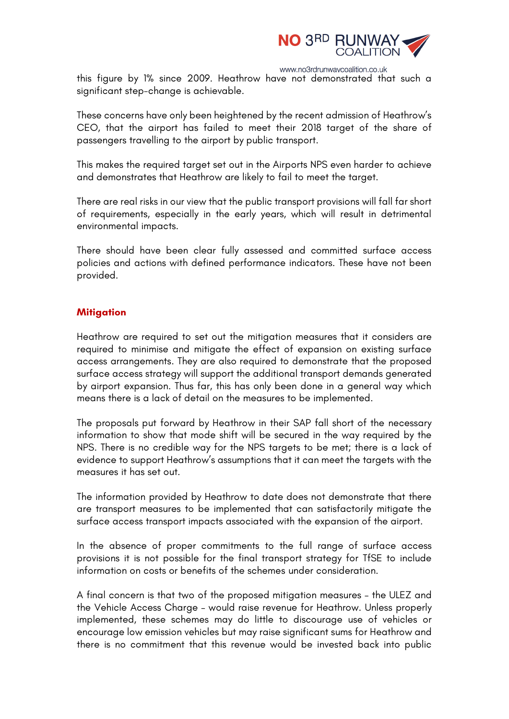

www.no3rdrunwaycoalition.co.uk

this figure by 1% since 2009. Heathrow have not demonstrated that such a significant step-change is achievable.

These concerns have only been heightened by the recent admission of Heathrow's CEO, that the airport has failed to meet their 2018 target of the share of passengers travelling to the airport by public transport.

This makes the required target set out in the Airports NPS even harder to achieve and demonstrates that Heathrow are likely to fail to meet the target.

There are real risks in our view that the public transport provisions will fall far short of requirements, especially in the early years, which will result in detrimental environmental impacts.

There should have been clear fully assessed and committed surface access policies and actions with defined performance indicators. These have not been provided.

#### **Mitigation**

Heathrow are required to set out the mitigation measures that it considers are required to minimise and mitigate the effect of expansion on existing surface access arrangements. They are also required to demonstrate that the proposed surface access strategy will support the additional transport demands generated by airport expansion. Thus far, this has only been done in a general way which means there is a lack of detail on the measures to be implemented.

The proposals put forward by Heathrow in their SAP fall short of the necessary information to show that mode shift will be secured in the way required by the NPS. There is no credible way for the NPS targets to be met; there is a lack of evidence to support Heathrow's assumptions that it can meet the targets with the measures it has set out.

The information provided by Heathrow to date does not demonstrate that there are transport measures to be implemented that can satisfactorily mitigate the surface access transport impacts associated with the expansion of the airport.

In the absence of proper commitments to the full range of surface access provisions it is not possible for the final transport strategy for TfSE to include information on costs or benefits of the schemes under consideration.

A final concern is that two of the proposed mitigation measures – the ULEZ and the Vehicle Access Charge – would raise revenue for Heathrow. Unless properly implemented, these schemes may do little to discourage use of vehicles or encourage low emission vehicles but may raise significant sums for Heathrow and there is no commitment that this revenue would be invested back into public